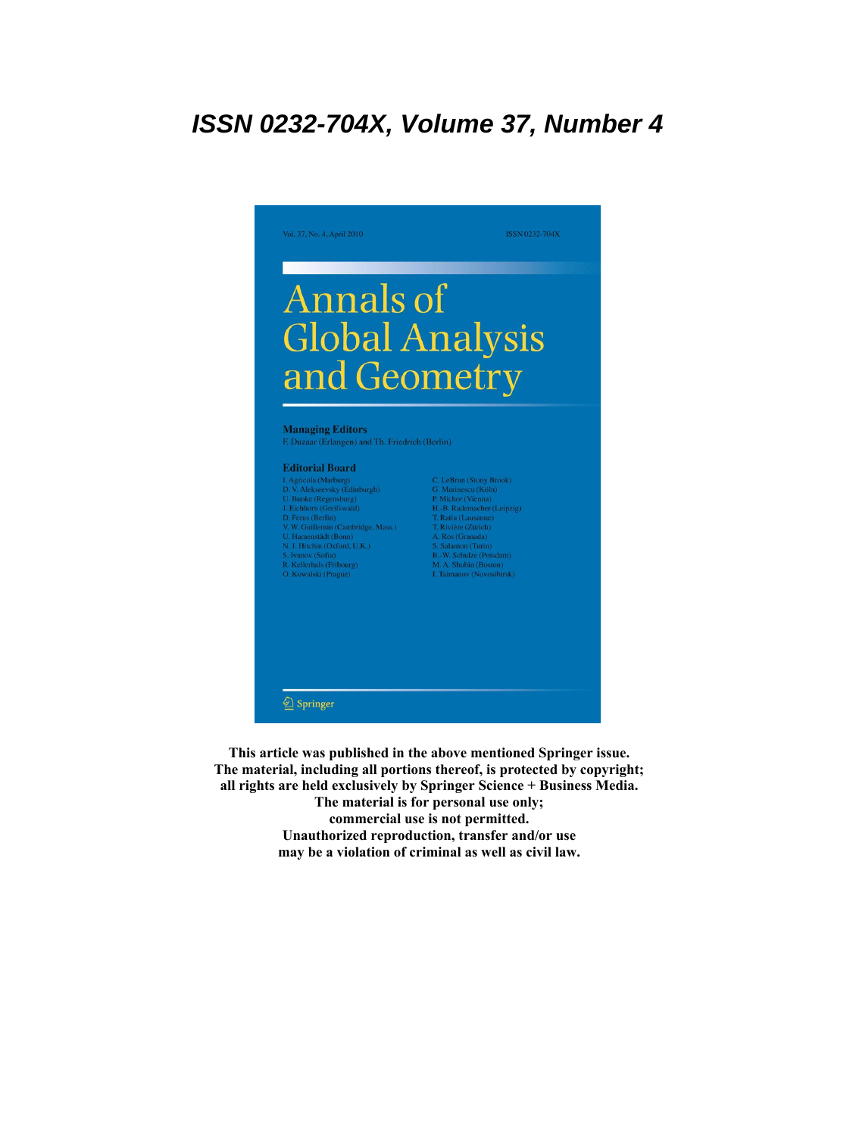# **ISSN 0232-704X, Volume 37, Number 4**



**This article was published in the above mentioned Springer issue. The material, including all portions thereof, is protected by copyright; all rights are held exclusively by Springer Science + Business Media. The material is for personal use only; commercial use is not permitted. Unauthorized reproduction, transfer and/or use may be a violation of criminal as well as civil law.**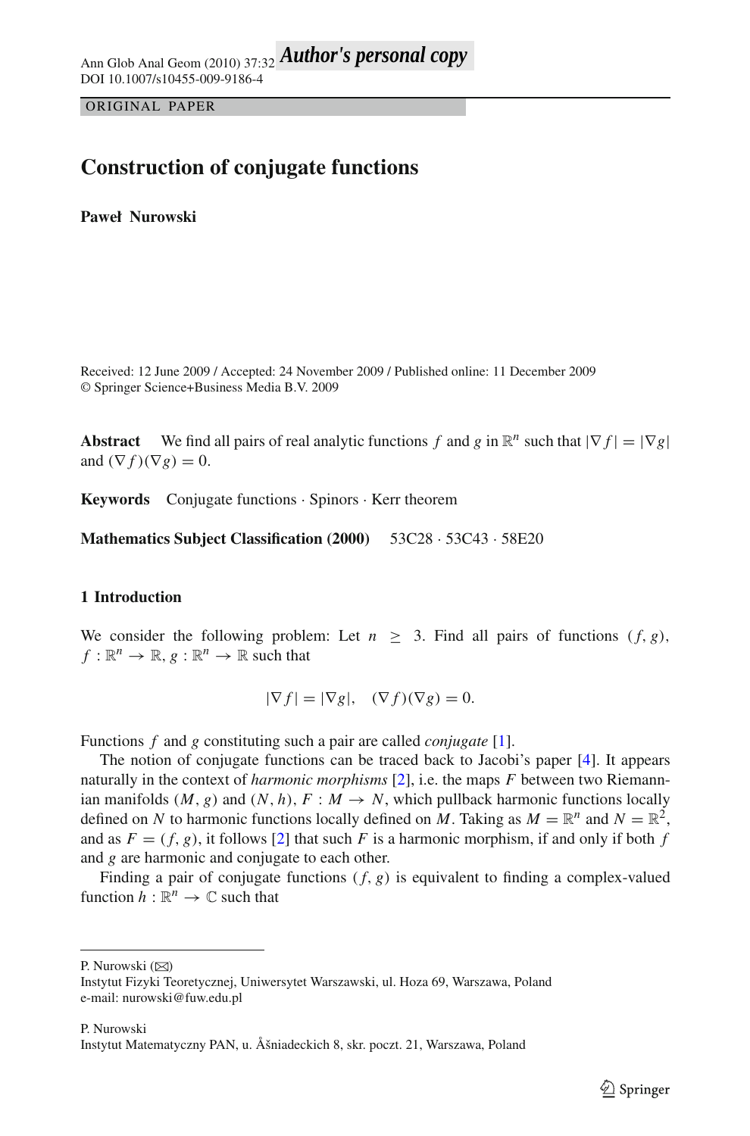ORIGINAL PAPER

# **Construction of conjugate functions**

**Paweł Nurowski**

Received: 12 June 2009 / Accepted: 24 November 2009 / Published online: 11 December 2009 © Springer Science+Business Media B.V. 2009

**Abstract** We find all pairs of real analytic functions *f* and *g* in  $\mathbb{R}^n$  such that  $|\nabla f| = |\nabla g|$ and  $(\nabla f)(\nabla g) = 0$ .

**Keywords** Conjugate functions · Spinors · Kerr theorem

**Mathematics Subject Classification (2000)** 53C28 · 53C43 · 58E20

## **1 Introduction**

We consider the following problem: Let  $n > 3$ . Find all pairs of functions  $(f, g)$ ,  $f: \mathbb{R}^n \to \mathbb{R}, g: \mathbb{R}^n \to \mathbb{R}$  such that

$$
|\nabla f| = |\nabla g|, \quad (\nabla f)(\nabla g) = 0.
$$

Functions *f* and *g* constituting such a pair are called *conjugate* [\[1\]](#page-6-0).

The notion of conjugate functions can be traced back to Jacobi's paper [\[4](#page-6-1)]. It appears naturally in the context of *harmonic morphisms* [\[2\]](#page-6-2), i.e. the maps *F* between two Riemannian manifolds  $(M, g)$  and  $(N, h)$ ,  $F : M \rightarrow N$ , which pullback harmonic functions locally defined on *N* to harmonic functions locally defined on *M*. Taking as  $M = \mathbb{R}^n$  and  $N = \mathbb{R}^2$ , and as  $F = (f, g)$ , it follows [\[2\]](#page-6-2) that such *F* is a harmonic morphism, if and only if both *f* and *g* are harmonic and conjugate to each other.

Finding a pair of conjugate functions  $(f, g)$  is equivalent to finding a complex-valued function  $h : \mathbb{R}^n \to \mathbb{C}$  such that

P. Nurowski  $(\boxtimes)$ 

Instytut Fizyki Teoretycznej, Uniwersytet Warszawski, ul. Hoza 69, Warszawa, Poland e-mail: nurowski@fuw.edu.pl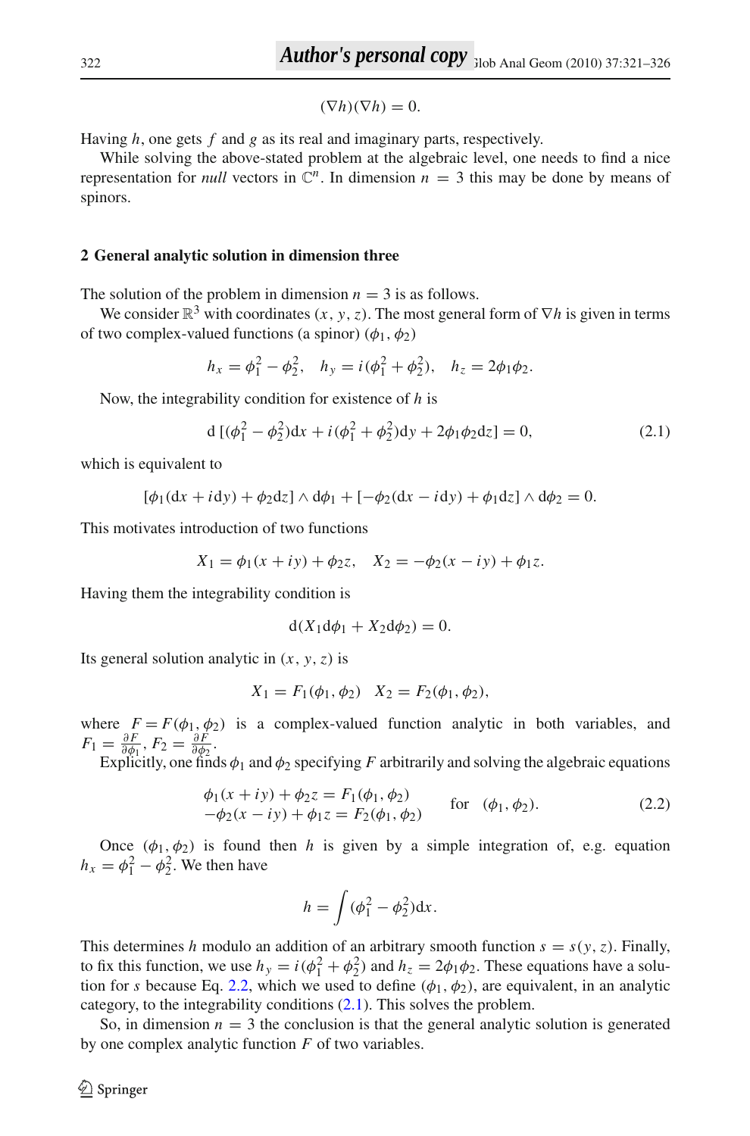$$
(\nabla h)(\nabla h) = 0.
$$

Having *h*, one gets *f* and *g* as its real and imaginary parts, respectively.

While solving the above-stated problem at the algebraic level, one needs to find a nice representation for *null* vectors in  $\mathbb{C}^n$ . In dimension  $n = 3$  this may be done by means of spinors.

### **2 General analytic solution in dimension three**

The solution of the problem in dimension  $n = 3$  is as follows.

We consider  $\mathbb{R}^3$  with coordinates  $(x, y, z)$ . The most general form of  $\nabla h$  is given in terms of two complex-valued functions (a spinor)  $(\phi_1, \phi_2)$ 

$$
h_x = \phi_1^2 - \phi_2^2
$$
,  $h_y = i(\phi_1^2 + \phi_2^2)$ ,  $h_z = 2\phi_1\phi_2$ .

Now, the integrability condition for existence of *h* is

$$
d\left[ (\phi_1^2 - \phi_2^2)dx + i(\phi_1^2 + \phi_2^2)dy + 2\phi_1\phi_2 dz \right] = 0,
$$
\n(2.1)

<span id="page-2-1"></span>which is equivalent to

$$
[\phi_1(dx + i dy) + \phi_2 dz] \wedge d\phi_1 + [-\phi_2(dx - i dy) + \phi_1 dz] \wedge d\phi_2 = 0.
$$

This motivates introduction of two functions

$$
X_1 = \phi_1(x + iy) + \phi_2 z, \quad X_2 = -\phi_2(x - iy) + \phi_1 z.
$$

Having them the integrability condition is

$$
d(X_1 d\phi_1 + X_2 d\phi_2) = 0.
$$

Its general solution analytic in  $(x, y, z)$  is

$$
X_1 = F_1(\phi_1, \phi_2) \quad X_2 = F_2(\phi_1, \phi_2),
$$

where  $F = F(\phi_1, \phi_2)$  is a complex-valued function analytic in both variables, and  $F_1 = \frac{\partial F}{\partial \phi_1}, F_2 = \frac{\partial F}{\partial \phi_2}.$ 

Explicitly, one finds  $\phi_1$  and  $\phi_2$  specifying *F* arbitrarily and solving the algebraic equations

$$
\begin{aligned}\n\phi_1(x+iy) + \phi_2 z &= F_1(\phi_1, \phi_2) \\
-\phi_2(x-iy) + \phi_1 z &= F_2(\phi_1, \phi_2)\n\end{aligned} \quad \text{for} \quad (\phi_1, \phi_2). \tag{2.2}
$$

<span id="page-2-0"></span>Once  $(\phi_1, \phi_2)$  is found then *h* is given by a simple integration of, e.g. equation  $h_x = \phi_1^2 - \phi_2^2$ . We then have

$$
h = \int (\phi_1^2 - \phi_2^2) \mathrm{d}x.
$$

This determines *h* modulo an addition of an arbitrary smooth function  $s = s(y, z)$ . Finally, to fix this function, we use  $h_y = i(\phi_1^2 + \phi_2^2)$  and  $h_z = 2\phi_1\phi_2$ . These equations have a solution for *s* because Eq. [2.2,](#page-2-0) which we used to define  $(\phi_1, \phi_2)$ , are equivalent, in an analytic category, to the integrability conditions [\(2.1\)](#page-2-1). This solves the problem.

So, in dimension  $n = 3$  the conclusion is that the general analytic solution is generated by one complex analytic function *F* of two variables.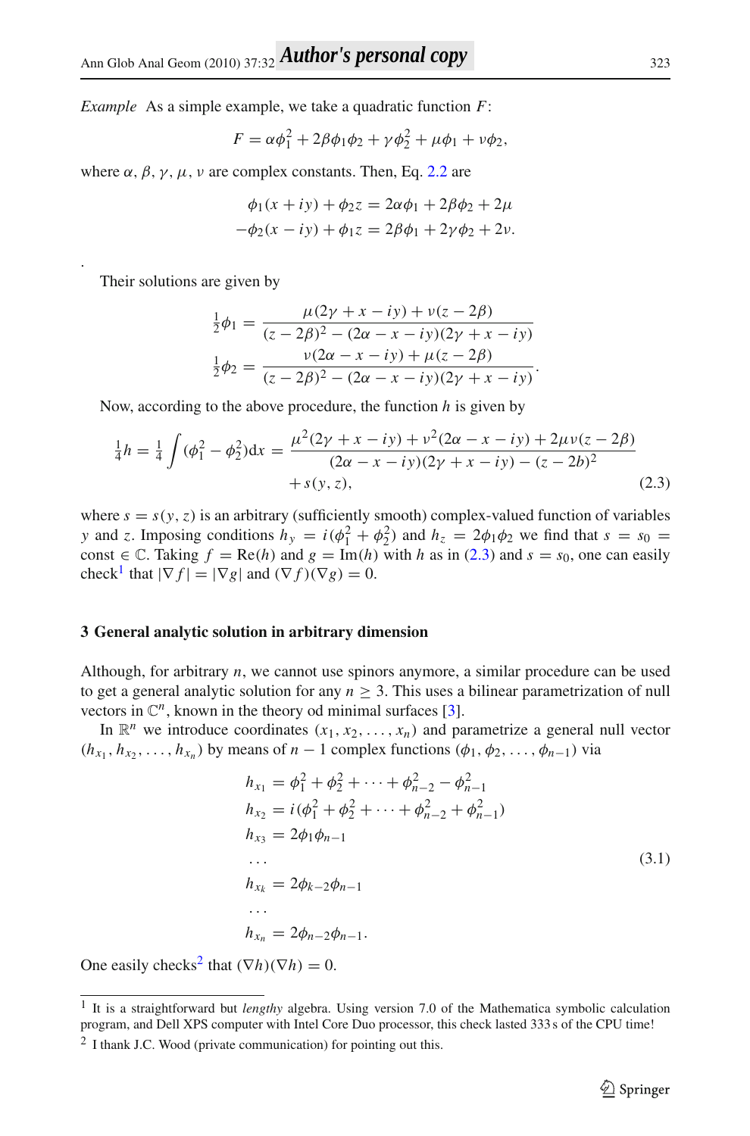*Example* As a simple example, we take a quadratic function *F*:

$$
F = \alpha \phi_1^2 + 2\beta \phi_1 \phi_2 + \gamma \phi_2^2 + \mu \phi_1 + \nu \phi_2,
$$

where  $\alpha$ ,  $\beta$ ,  $\gamma$ ,  $\mu$ ,  $\nu$  are complex constants. Then, Eq. [2.2](#page-2-0) are

$$
\phi_1(x + iy) + \phi_2 z = 2\alpha \phi_1 + 2\beta \phi_2 + 2\mu
$$
  
-
$$
\phi_2(x - iy) + \phi_1 z = 2\beta \phi_1 + 2\gamma \phi_2 + 2\nu.
$$

Their solutions are given by

.

$$
\frac{1}{2}\phi_1 = \frac{\mu(2\gamma + x - iy) + \nu(z - 2\beta)}{(z - 2\beta)^2 - (2\alpha - x - iy)(2\gamma + x - iy)}
$$

$$
\frac{1}{2}\phi_2 = \frac{\nu(2\alpha - x - iy) + \mu(z - 2\beta)}{(z - 2\beta)^2 - (2\alpha - x - iy)(2\gamma + x - iy)}.
$$

Now, according to the above procedure, the function *h* is given by

$$
\frac{1}{4}h = \frac{1}{4}\int (\phi_1^2 - \phi_2^2)dx = \frac{\mu^2(2\gamma + x - iy) + \nu^2(2\alpha - x - iy) + 2\mu\nu(z - 2\beta)}{(2\alpha - x - iy)(2\gamma + x - iy) - (z - 2b)^2} + s(y, z),
$$
\n(2.3)

<span id="page-3-0"></span>where  $s = s(y, z)$  is an arbitrary (sufficiently smooth) complex-valued function of variables *y* and *z*. Imposing conditions  $h_y = i(\phi_1^2 + \phi_2^2)$  and  $h_z = 2\phi_1\phi_2$  we find that  $s = s_0 =$ const  $\in \mathbb{C}$ . Taking  $f = \text{Re}(h)$  and  $g = \text{Im}(h)$  with *h* as in [\(2.3\)](#page-3-0) and  $s = s_0$ , one can easily check<sup>[1](#page-3-1)</sup> that  $|\nabla f| = |\nabla g|$  and  $(\nabla f)(\nabla g) = 0$ .

#### **3 General analytic solution in arbitrary dimension**

Although, for arbitrary *n*, we cannot use spinors anymore, a similar procedure can be used to get a general analytic solution for any  $n > 3$ . This uses a bilinear parametrization of null vectors in  $\mathbb{C}^n$ , known in the theory od minimal surfaces [\[3](#page-6-3)].

<span id="page-3-3"></span>In  $\mathbb{R}^n$  we introduce coordinates  $(x_1, x_2, \ldots, x_n)$  and parametrize a general null vector  $(h_{x_1}, h_{x_2}, \ldots, h_{x_n})$  by means of *n* − 1 complex functions  $(\phi_1, \phi_2, \ldots, \phi_{n-1})$  via

$$
h_{x_1} = \phi_1^2 + \phi_2^2 + \dots + \phi_{n-2}^2 - \phi_{n-1}^2
$$
  
\n
$$
h_{x_2} = i(\phi_1^2 + \phi_2^2 + \dots + \phi_{n-2}^2 + \phi_{n-1}^2)
$$
  
\n
$$
h_{x_3} = 2\phi_1\phi_{n-1}
$$
  
\n...  
\n
$$
h_{x_k} = 2\phi_{k-2}\phi_{n-1}
$$
  
\n...  
\n
$$
h_{x_n} = 2\phi_{n-2}\phi_{n-1}.
$$
  
\n(3.1)

One easily checks<sup>2</sup> that  $(\nabla h)(\nabla h) = 0$ .

<sup>1</sup> It is a straightforward but *lengthy* algebra. Using version 7.0 of the Mathematica symbolic calculation program, and Dell XPS computer with Intel Core Duo processor, this check lasted 333 s of the CPU time!

<span id="page-3-2"></span><span id="page-3-1"></span><sup>2</sup> I thank J.C. Wood (private communication) for pointing out this.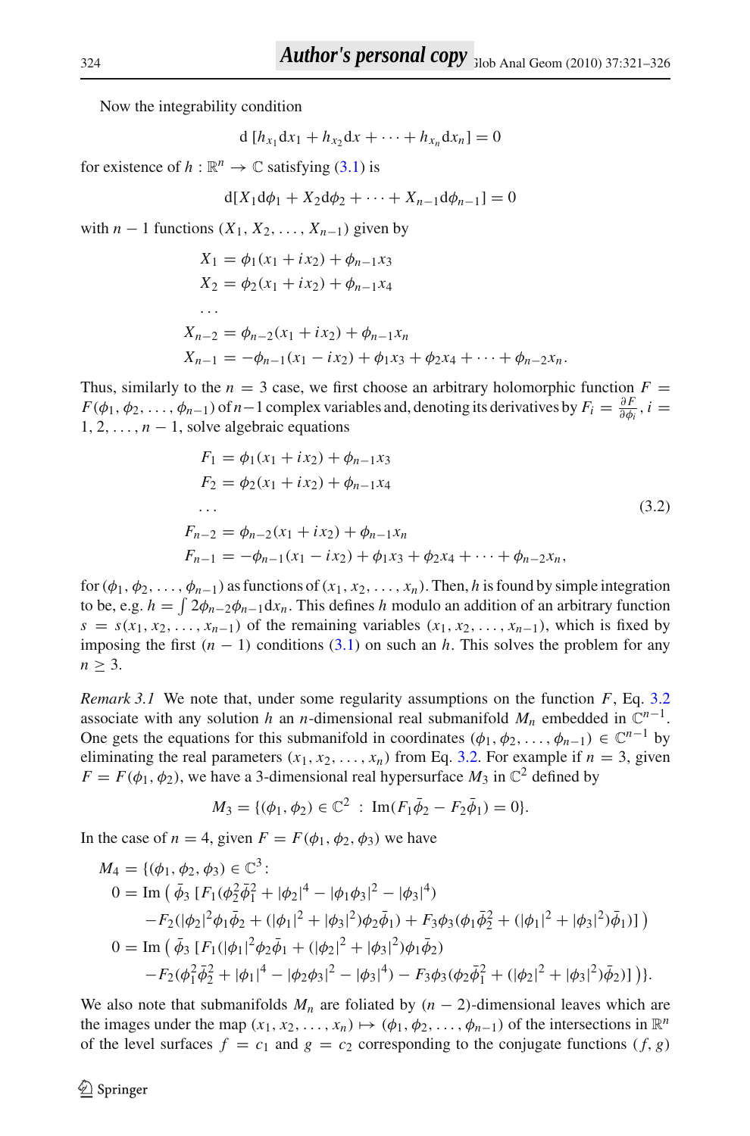Now the integrability condition

$$
d [h_{x_1} dx_1 + h_{x_2} dx + \cdots + h_{x_n} dx_n] = 0
$$

for existence of  $h : \mathbb{R}^n \to \mathbb{C}$  satisfying [\(3.1\)](#page-3-3) is

$$
d[X_1 d\phi_1 + X_2 d\phi_2 + \cdots + X_{n-1} d\phi_{n-1}] = 0
$$

with  $n-1$  functions  $(X_1, X_2, \ldots, X_{n-1})$  given by

$$
X_1 = \phi_1(x_1 + ix_2) + \phi_{n-1}x_3
$$
  
\n
$$
X_2 = \phi_2(x_1 + ix_2) + \phi_{n-1}x_4
$$
  
\n...  
\n
$$
X_{n-2} = \phi_{n-2}(x_1 + ix_2) + \phi_{n-1}x_n
$$
  
\n
$$
X_{n-1} = -\phi_{n-1}(x_1 - ix_2) + \phi_1x_3 + \phi_2x_4 + \dots + \phi_{n-2}x_n.
$$

<span id="page-4-0"></span>Thus, similarly to the  $n = 3$  case, we first choose an arbitrary holomorphic function  $F =$  $F(\phi_1, \phi_2, \dots, \phi_{n-1})$  of  $n-1$  complex variables and, denoting its derivatives by  $F_i = \frac{\partial F}{\partial \phi_i}$ ,  $i =$  $1, 2, \ldots, n-1$ , solve algebraic equations

$$
F_1 = \phi_1(x_1 + ix_2) + \phi_{n-1}x_3
$$
  
\n
$$
F_2 = \phi_2(x_1 + ix_2) + \phi_{n-1}x_4
$$
  
\n...  
\n
$$
F_{n-2} = \phi_{n-2}(x_1 + ix_2) + \phi_{n-1}x_n
$$
  
\n
$$
F_{n-1} = -\phi_{n-1}(x_1 - ix_2) + \phi_1x_3 + \phi_2x_4 + \dots + \phi_{n-2}x_n,
$$
\n(3.2)

for  $(\phi_1, \phi_2, \ldots, \phi_{n-1})$  as functions of  $(x_1, x_2, \ldots, x_n)$ . Then, *h* is found by simple integration to be, e.g.  $h = \int 2\phi_{n-2}\phi_{n-1}dx_n$ . This defines *h* modulo an addition of an arbitrary function  $s = s(x_1, x_2, \ldots, x_{n-1})$  of the remaining variables  $(x_1, x_2, \ldots, x_{n-1})$ , which is fixed by imposing the first  $(n - 1)$  conditions [\(3.1\)](#page-3-3) on such an *h*. This solves the problem for any  $n \geq 3$ .

*Remark 3.1* We note that, under some regularity assumptions on the function *F*, Eq. [3.2](#page-4-0) associate with any solution *h* an *n*-dimensional real submanifold  $M_n$  embedded in  $\mathbb{C}^{n-1}$ . One gets the equations for this submanifold in coordinates  $(\phi_1, \phi_2, \dots, \phi_{n-1}) \in \mathbb{C}^{n-1}$  by eliminating the real parameters  $(x_1, x_2, \ldots, x_n)$  from Eq. [3.2.](#page-4-0) For example if  $n = 3$ , given  $F = F(\phi_1, \phi_2)$ , we have a 3-dimensional real hypersurface  $M_3$  in  $\mathbb{C}^2$  defined by

$$
M_3 = \{(\phi_1, \phi_2) \in \mathbb{C}^2 : \operatorname{Im}(F_1 \overline{\phi}_2 - F_2 \overline{\phi}_1) = 0\}.
$$

In the case of  $n = 4$ , given  $F = F(\phi_1, \phi_2, \phi_3)$  we have

$$
M_4 = \{(\phi_1, \phi_2, \phi_3) \in \mathbb{C}^3 : 0 = \text{Im} \left( \bar{\phi}_3 \left[ F_1 (\phi_2^2 \bar{\phi}_1^2 + |\phi_2|^4 - |\phi_1 \phi_3|^2 - |\phi_3|^4 \right) \right. \\ \left. - F_2 (|\phi_2|^2 \phi_1 \bar{\phi}_2 + (|\phi_1|^2 + |\phi_3|^2) \phi_2 \bar{\phi}_1) + F_3 \phi_3 (\phi_1 \bar{\phi}_2^2 + (|\phi_1|^2 + |\phi_3|^2) \bar{\phi}_1) \right] \right) 0 = \text{Im} \left( \bar{\phi}_3 \left[ F_1 (|\phi_1|^2 \phi_2 \bar{\phi}_1 + (|\phi_2|^2 + |\phi_3|^2) \phi_1 \bar{\phi}_2 \right) \right. \\ \left. - F_2 (\phi_1^2 \bar{\phi}_2^2 + |\phi_1|^4 - |\phi_2 \phi_3|^2 - |\phi_3|^4) - F_3 \phi_3 (\phi_2 \bar{\phi}_1^2 + (|\phi_2|^2 + |\phi_3|^2) \bar{\phi}_2) \right] \right) \right\}.
$$

We also note that submanifolds  $M_n$  are foliated by  $(n-2)$ -dimensional leaves which are the images under the map  $(x_1, x_2, \ldots, x_n) \mapsto (\phi_1, \phi_2, \ldots, \phi_{n-1})$  of the intersections in  $\mathbb{R}^n$ of the level surfaces  $f = c_1$  and  $g = c_2$  corresponding to the conjugate functions  $(f, g)$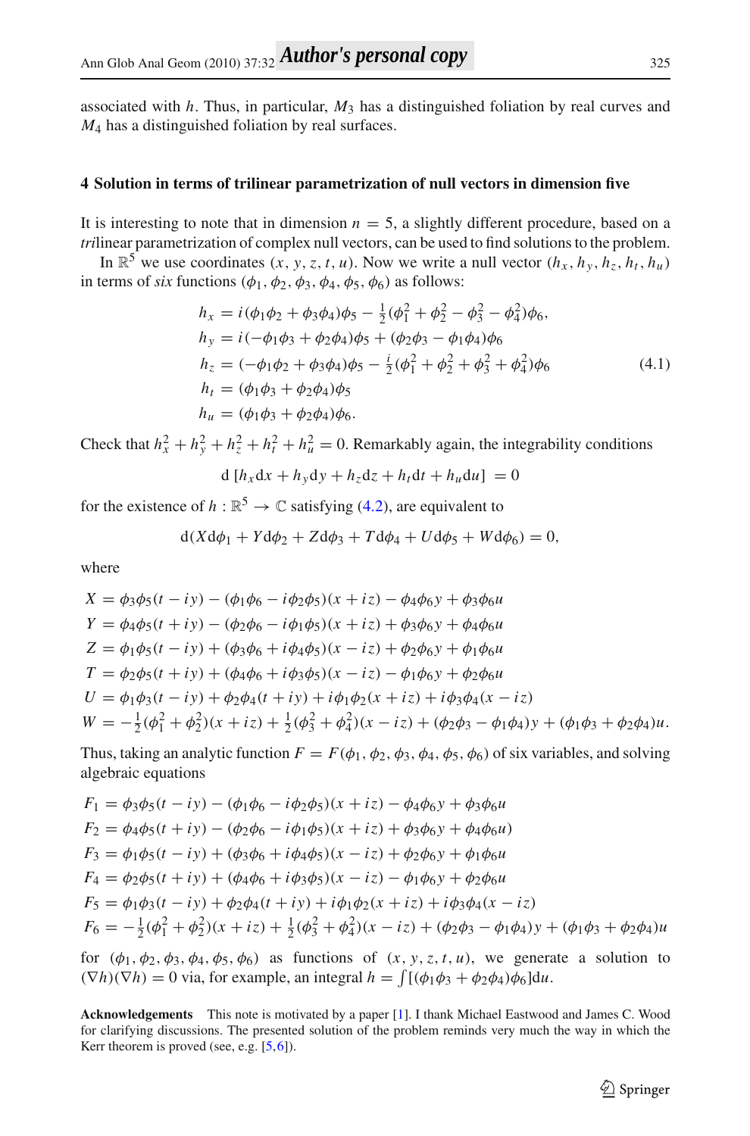associated with *h*. Thus, in particular, *M*<sup>3</sup> has a distinguished foliation by real curves and *M*<sup>4</sup> has a distinguished foliation by real surfaces.

#### **4 Solution in terms of trilinear parametrization of null vectors in dimension five**

It is interesting to note that in dimension  $n = 5$ , a slightly different procedure, based on a *tri*linear parametrization of complex null vectors, can be used to find solutions to the problem.

<span id="page-5-0"></span>In  $\mathbb{R}^5$  we use coordinates  $(x, y, z, t, u)$ . Now we write a null vector  $(h_x, h_y, h_z, h_t, h_u)$ in terms of *six* functions  $(\phi_1, \phi_2, \phi_3, \phi_4, \phi_5, \phi_6)$  as follows:

$$
h_x = i(\phi_1 \phi_2 + \phi_3 \phi_4)\phi_5 - \frac{1}{2}(\phi_1^2 + \phi_2^2 - \phi_3^2 - \phi_4^2)\phi_6, \nh_y = i(-\phi_1 \phi_3 + \phi_2 \phi_4)\phi_5 + (\phi_2 \phi_3 - \phi_1 \phi_4)\phi_6 \nh_z = (-\phi_1 \phi_2 + \phi_3 \phi_4)\phi_5 - \frac{i}{2}(\phi_1^2 + \phi_2^2 + \phi_3^2 + \phi_4^2)\phi_6 \nh_t = (\phi_1 \phi_3 + \phi_2 \phi_4)\phi_5 \nh_u = (\phi_1 \phi_3 + \phi_2 \phi_4)\phi_6.
$$
\n(4.1)

Check that  $h_x^2 + h_y^2 + h_z^2 + h_t^2 + h_u^2 = 0$ . Remarkably again, the integrability conditions

$$
d[h_x dx + h_y dy + h_z dz + h_t dt + h_u du] = 0
$$

for the existence of  $h : \mathbb{R}^5 \to \mathbb{C}$  satisfying [\(4.2\)](#page-5-0), are equivalent to

$$
d(Xd\phi_1 + Yd\phi_2 + Zd\phi_3 + Td\phi_4 + Ud\phi_5 + Wd\phi_6) = 0,
$$

where

$$
X = \phi_3 \phi_5(t - iy) - (\phi_1 \phi_6 - i \phi_2 \phi_5)(x + iz) - \phi_4 \phi_6 y + \phi_3 \phi_6 u
$$
  
\n
$$
Y = \phi_4 \phi_5(t + iy) - (\phi_2 \phi_6 - i \phi_1 \phi_5)(x + iz) + \phi_3 \phi_6 y + \phi_4 \phi_6 u
$$
  
\n
$$
Z = \phi_1 \phi_5(t - iy) + (\phi_3 \phi_6 + i \phi_4 \phi_5)(x - iz) + \phi_2 \phi_6 y + \phi_1 \phi_6 u
$$
  
\n
$$
T = \phi_2 \phi_5(t + iy) + (\phi_4 \phi_6 + i \phi_3 \phi_5)(x - iz) - \phi_1 \phi_6 y + \phi_2 \phi_6 u
$$
  
\n
$$
U = \phi_1 \phi_3(t - iy) + \phi_2 \phi_4(t + iy) + i \phi_1 \phi_2(x + iz) + i \phi_3 \phi_4(x - iz)
$$
  
\n
$$
W = -\frac{1}{2} (\phi_1^2 + \phi_2^2)(x + iz) + \frac{1}{2} (\phi_3^2 + \phi_4^2)(x - iz) + (\phi_2 \phi_3 - \phi_1 \phi_4) y + (\phi_1 \phi_3 + \phi_2 \phi_4) u.
$$

Thus, taking an analytic function  $F = F(\phi_1, \phi_2, \phi_3, \phi_4, \phi_5, \phi_6)$  of six variables, and solving algebraic equations

$$
F_1 = \phi_3 \phi_5 (t - iy) - (\phi_1 \phi_6 - i \phi_2 \phi_5)(x + iz) - \phi_4 \phi_6 y + \phi_3 \phi_6 u
$$
  
\n
$$
F_2 = \phi_4 \phi_5 (t + iy) - (\phi_2 \phi_6 - i \phi_1 \phi_5)(x + iz) + \phi_3 \phi_6 y + \phi_4 \phi_6 u)
$$
  
\n
$$
F_3 = \phi_1 \phi_5 (t - iy) + (\phi_3 \phi_6 + i \phi_4 \phi_5)(x - iz) + \phi_2 \phi_6 y + \phi_1 \phi_6 u
$$
  
\n
$$
F_4 = \phi_2 \phi_5 (t + iy) + (\phi_4 \phi_6 + i \phi_3 \phi_5)(x - iz) - \phi_1 \phi_6 y + \phi_2 \phi_6 u
$$
  
\n
$$
F_5 = \phi_1 \phi_3 (t - iy) + \phi_2 \phi_4 (t + iy) + i \phi_1 \phi_2 (x + iz) + i \phi_3 \phi_4 (x - iz)
$$
  
\n
$$
F_6 = -\frac{1}{2} (\phi_1^2 + \phi_2^2)(x + iz) + \frac{1}{2} (\phi_3^2 + \phi_4^2)(x - iz) + (\phi_2 \phi_3 - \phi_1 \phi_4) y + (\phi_1 \phi_3 + \phi_2 \phi_4) u
$$

for  $(\phi_1, \phi_2, \phi_3, \phi_4, \phi_5, \phi_6)$  as functions of  $(x, y, z, t, u)$ , we generate a solution to  $(\nabla h)(\nabla h) = 0$  via, for example, an integral  $h = \int [(\phi_1 \phi_3 + \phi_2 \phi_4) \phi_6] du$ .

**Acknowledgements** This note is motivated by a paper [\[1\]](#page-6-0). I thank Michael Eastwood and James C. Wood for clarifying discussions. The presented solution of the problem reminds very much the way in which the Kerr theorem is proved (see, e.g. [\[5](#page-6-4)[,6](#page-6-5)]).